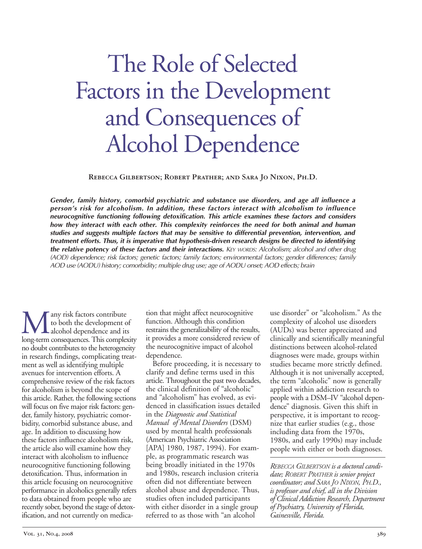# **M** any risk factors contribute<br>to both the development of<br>long-term consequences. This comple to both the development of alcohol dependence and its long-term consequences. This complexity no doubt contributes to the heterogeneity

in research findings, complicating treatment as well as identifying multiple avenues for intervention efforts. A comprehensive review of the risk factors for alcoholism is beyond the scope of this article. Rather, the following sections will focus on five major risk factors: gender, family history, psychiatric comorbidity, comorbid substance abuse, and age. In addition to discussing how these factors influence alcoholism risk, the article also will examine how they interact with alcoholism to influence neurocognitive functioning following detoxification. Thus, information in this article focusing on neurocognitive performance in alcoholics generally refers to data obtained from people who are recently sober, beyond the stage of detoxification, and not currently on medica-

tion that might affect neurocognitive function. Although this condition restrains the generalizability of the results, it provides a more considered review of the neurocognitive impact of alcohol dependence. Before proceeding, it is necessary to

clarify and define terms used in this article. Throughout the past two decades, the clinical definition of "alcoholic" and "alcoholism" has evolved, as evidenced in classification issues detailed in the *Diagnostic and Statistical Manual of Mental Disorders* (DSM) used by mental health professionals (American Psychiatric Association [APA] 1980, 1987, 1994). For example, as programmatic research was being broadly initiated in the 1970s and 1980s, research inclusion criteria often did not differentiate between alcohol abuse and dependence. Thus, studies often included participants with either disorder in a single group referred to as those with "an alcohol

use disorder" or "alcoholism." As the complexity of alcohol use disorders (AUDs) was better appreciated and clinically and scientifically meaningful distinctions between alcohol-related diagnoses were made, groups within studies became more strictly defined. Although it is not universally accepted, the term "alcoholic" now is generally applied within addiction research to people with a DSM–IV "alcohol dependence" diagnosis. Given this shift in perspective, it is important to recognize that earlier studies (e.g., those including data from the 1970s, 1980s, and early 1990s) may include people with either or both diagnoses.

*REBECCA GILBERTSON is a doctoral candidate; ROBERT PRATHER is senior project coordinator; and SARA JO NIXON, PH.D., is professor and chief, all in the Division of Clinical Addiction Research, Department of Psychiatry, University of Florida, Gainesville, Florida.*

# The Role of Selected Factors in the Development and Consequences of Alcohol Dependence

**Rebecca Gilbertson; Robert Prather; and Sara Jo Nixon, Ph.D.**

*Gender, family history, comorbid psychiatric and substance use disorders, and age all influence a person's risk for alcoholism. In addition, these factors interact with alcoholism to influence neurocognitive functioning following detoxification. This article examines these factors and considers how they interact with each other. This complexity reinforces the need for both animal and human studies and suggests multiple factors that may be sensitive to differential prevention, intervention, and treatment efforts. Thus, it is imperative that hypothesisdriven research designs be directed to identifying the relative potency of these factors and their interactions. KEY WORDS: Alcoholism; alcohol and other drug (AOD) dependence; risk factors; genetic factors; family factors; environmental factors; gender differences; family AOD use (AODU) history; comorbidity; multiple drug use; age of AODU onset; AOD effects; brain*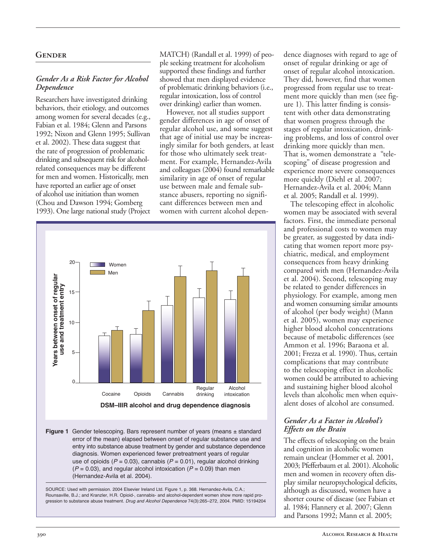# **Gender**

#### *Gender As a Risk Factor for Alcohol Dependence*

Researchers have investigated drinking behaviors, their etiology, and outcomes among women for several decades (e.g., Fabian et al. 1984; Glenn and Parsons 1992; Nixon and Glenn 1995; Sullivan et al. 2002). These data suggest that the rate of progression of problematic drinking and subsequent risk for alcoholrelated consequences may be different for men and women. Historically, men have reported an earlier age of onset of alcohol use initiation than women (Chou and Dawson 1994; Gomberg 1993). One large national study (Project

MATCH) (Randall et al. 1999) of people seeking treatment for alcoholism supported these findings and further showed that men displayed evidence of problematic drinking behaviors (i.e., regular intoxication, loss of control over drinking) earlier than women.

However, not all studies support gender differences in age of onset of regular alcohol use, and some suggest that age of initial use may be increasingly similar for both genders, at least for those who ultimately seek treatment. For example, Hernandez-Avila and colleagues (2004) found remarkable similarity in age of onset of regular use between male and female substance abusers, reporting no significant differences between men and women with current alcohol depen-



**Figure 1** Gender telescoping. Bars represent number of years (means ± standard error of the mean) elapsed between onset of regular substance use and entry into substance abuse treatment by gender and substance dependence diagnosis. Women experienced fewer pretreatment years of regular use of opioids (*P* = 0.03), cannabis (*P* = 0.01), regular alcohol drinking  $(P = 0.03)$ , and regular alcohol intoxication  $(P = 0.09)$  than men (Hernandez-Avila et al. 2004).



dence diagnoses with regard to age of onset of regular drinking or age of onset of regular alcohol intoxication. They did, however, find that women progressed from regular use to treatment more quickly than men (see figure 1). This latter finding is consistent with other data demonstrating that women progress through the stages of regular intoxication, drinking problems, and loss of control over drinking more quickly than men. That is, women demonstrate a "telescoping" of disease progression and experience more severe consequences more quickly (Diehl et al. 2007; Hernandez-Avila et al. 2004; Mann et al. 2005; Randall et al. 1999).

The telescoping effect in alcoholic women may be associated with several factors. First, the immediate personal and professional costs to women may be greater, as suggested by data indicating that women report more psychiatric, medical, and employment consequences from heavy drinking compared with men (Hernandez-Avila et al. 2004). Second, telescoping may be related to gender differences in physiology. For example, among men and women consuming similar amounts of alcohol (per body weight) (Mann et al. 2005), women may experience higher blood alcohol concentrations because of metabolic differences (see Ammon et al. 1996; Baraona et al. 2001; Frezza et al. 1990). Thus, certain complications that may contribute to the telescoping effect in alcoholic women could be attributed to achieving and sustaining higher blood alcohol levels than alcoholic men when equivalent doses of alcohol are consumed.

#### *Gender As a Factor in Alcohol's Effects on the Brain*

The effects of telescoping on the brain and cognition in alcoholic women remain unclear (Hommer et al. 2001, 2003; Pfefferbaum et al. 2001). Alcoholic men and women in recovery often display similar neuropsychological deficits, although as discussed, women have a shorter course of disease (see Fabian et al. 1984; Flannery et al. 2007; Glenn and Parsons 1992; Mann et al. 2005;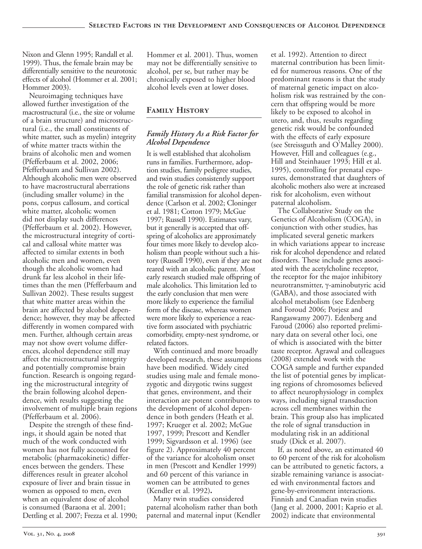Nixon and Glenn 1995; Randall et al. 1999). Thus, the female brain may be differentially sensitive to the neurotoxic effects of alcohol (Hommer et al. 2001; Hommer 2003).

Neuroimaging techniques have allowed further investigation of the macrostructural (i.e., the size or volume of a brain structure) and microstructural (i.e., the small constituents of white matter, such as myelin) integrity of white matter tracts within the brains of alcoholic men and women (Pfefferbaum et al. 2002, 2006; Pfefferbaum and Sullivan 2002). Although alcoholic men were observed to have macrostructural aberrations (including smaller volume) in the pons, corpus callosum, and cortical white matter, alcoholic women did not display such differences (Pfefferbaum et al. 2002). However, the microstructural integrity of cortical and callosal white matter was affected to similar extents in both alcoholic men and women, even though the alcoholic women had drunk far less alcohol in their lifetimes than the men (Pfefferbaum and Sullivan 2002). These results suggest that white matter areas within the brain are affected by alcohol dependence; however, they may be affected differently in women compared with men. Further, although certain areas may not show overt volume differences, alcohol dependence still may affect the microstructural integrity and potentially compromise brain function. Research is ongoing regarding the microstructural integrity of the brain following alcohol dependence, with results suggesting the involvement of multiple brain regions (Pfefferbaum et al. 2006).

Despite the strength of these findings, it should again be noted that much of the work conducted with women has not fully accounted for metabolic (pharmacokinetic) differences between the genders. These differences result in greater alcohol exposure of liver and brain tissue in women as opposed to men, even when an equivalent dose of alcohol is consumed (Baraona et al. 2001; Dettling et al. 2007; Frezza et al. 1990;

Hommer et al. 2001). Thus, women may not be differentially sensitive to alcohol, per se, but rather may be chronically exposed to higher blood alcohol levels even at lower doses.

# **Family History**

## *Family History As a Risk Factor for Alcohol Dependence*

It is well established that alcoholism runs in families. Furthermore, adoption studies, family pedigree studies, and twin studies consistently support the role of genetic risk rather than familial transmission for alcohol dependence (Carlson et al. 2002; Cloninger et al. 1981; Cotton 1979; McGue 1997; Russell 1990). Estimates vary, but it generally is accepted that offspring of alcoholics are approximately four times more likely to develop alcoholism than people without such a history (Russell 1990), even if they are not reared with an alcoholic parent. Most early research studied male offspring of male alcoholics. This limitation led to the early conclusion that men were more likely to experience the familial form of the disease, whereas women were more likely to experience a reactive form associated with psychiatric comorbidity, empty-nest syndrome, or related factors.

With continued and more broadly developed research, these assumptions have been modified. Widely cited studies using male and female monozygotic and dizygotic twins suggest that genes, environment, and their interaction are potent contributors to the development of alcohol dependence in both genders (Heath et al. 1997; Krueger et al. 2002; McGue 1997, 1999; Prescott and Kendler 1999; Sigvardsson et al. 1996) (see figure 2). Approximately 40 percent of the variance for alcoholism onset in men (Prescott and Kendler 1999) and 60 percent of this variance in women can be attributed to genes (Kendler et al. 1992)**.**

Many twin studies considered paternal alcoholism rather than both paternal and maternal input (Kendler

et al. 1992). Attention to direct maternal contribution has been limited for numerous reasons. One of the predominant reasons is that the study of maternal genetic impact on alcoholism risk was restrained by the concern that offspring would be more likely to be exposed to alcohol in utero, and, thus, results regarding genetic risk would be confounded with the effects of early exposure (see Streissguth and O'Malley 2000). However, Hill and colleagues (e.g., Hill and Steinhauer 1993; Hill et al. 1995), controlling for prenatal exposures, demonstrated that daughters of alcoholic mothers also were at increased risk for alcoholism, even without paternal alcoholism.

The Collaborative Study on the Genetics of Alcoholism (COGA), in conjunction with other studies, has implicated several genetic markers in which variations appear to increase risk for alcohol dependence and related disorders. These include genes associated with the acetylcholine receptor, the receptor for the major inhibitory neurotransmitter, γ-aminobutyric acid (GABA), and those associated with alcohol metabolism (see Edenberg and Foroud 2006; Porjesz and Rangaswamy 2007). Edenberg and Faroud (2006) also reported preliminary data on several other loci, one of which is associated with the bitter taste receptor. Agrawal and colleagues (2008) extended work with the COGA sample and further expanded the list of potential genes by implicating regions of chromosomes believed to affect neurophysiology in complex ways, including signal transduction across cell membranes within the brain. This group also has implicated the role of signal transduction in modulating risk in an additional study (Dick et al. 2007).

If, as noted above, an estimated 40 to 60 percent of the risk for alcoholism can be attributed to genetic factors, a sizable remaining variance is associated with environmental factors and gene-by-environment interactions. Finnish and Canadian twin studies (Jang et al. 2000, 2001; Kaprio et al. 2002) indicate that environmental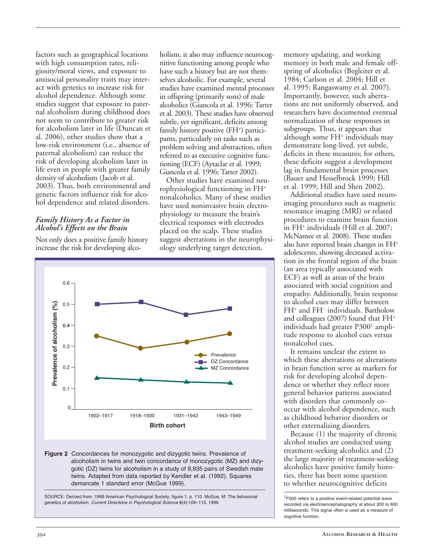factors such as geographical locations with high consumption rates, religiosity/moral views, and exposure to antisocial personality traits may interact with genetics to increase risk for alcohol dependence. Although some studies suggest that exposure to paternal alcoholism during childhood does not seem to contribute to greater risk for alcoholism later in life (Duncan et al. 2006), other studies show that a low-risk environment (*i.e.*, absence of paternal alcoholism) can reduce the risk of developing alcoholism later in life even in people with greater family density of alcoholism (Jacob et al. 2003). Thus, both environmental and genetic factors influence risk for alcohol dependence and related disorders.

#### *Family History As a Factor in Alcohol's Effects on the Brain*

Not only does a positive family history increase the risk for developing alco-

holism, it also may influence neurocognitive functioning among people who have such a history but are not themselves alcoholic. For example, several studies have examined mental processes in offspring (primarily sons) of male alcoholics (Giancola et al. 1996; Tarter et al. 2003). These studies have observed subtle, yet significant, deficits among family history positive (FH<sup>+</sup>) participants, particularly on tasks such as problem solving and abstraction, often referred to as executive cognitive functioning (ECF) (Aytaclar et al. 1999; Giancola et al. 1996; Tarter 2002).

Other studies have examined neurophysiological functioning in FH+ nonalcoholics. Many of these studies have used noninvasive brain electrophysiology to measure the brain's electrical responses with electrodes placed on the scalp. These studies suggest aberrations in the neurophysiology underlying target detection,



SOURCE: Derived from: 1999 American Psychological Society, figure 1, p. 110. McGue, M. The behavioral genetics of alcoholism. *Current Directions in Psychological Science* 8(4):109–115, 1999.

memory updating, and working memory in both male and female offspring of alcoholics (Begleiter et al. 1984; Carlson et al. 2004; Hill et al. 1995; Rangaswamy et al. 2007). Importantly, however, such aberrations are not uniformly observed, and researchers have documented eventual normalization of these responses in subgroups. Thus, it appears that although some FH+ individuals may demonstrate long-lived, yet subtle, deficits in these measures; for others, these deficits suggest a development lag in fundamental brain processes (Bauer and Hesselbrock 1999; Hill et al. 1999; Hill and Shen 2002).

Additional studies have used neuroimaging procedures such as magnetic resonance imaging (MRI) or related procedures to examine brain function in FH+ individuals (Hill et al. 2007; McNamee et al. 2008). These studies also have reported brain changes in FH+ adolescents, showing decreased activation in the frontal region of the brain (an area typically associated with ECF) as well as areas of the brain associated with social cognition and empathy. Additionally, brain response to alcohol cues may differ between FH+ and FH– individuals. Bartholow and colleagues (2007) found that FH+ individuals had greater P300<sup>1</sup> amplitude response to alcohol cues versus nonalcohol cues.

It remains unclear the extent to which these aberrations or alterations in brain function serve as markers for risk for developing alcohol dependence or whether they reflect more general behavior patterns associated with disorders that commonly cooccur with alcohol dependence, such as childhood behavior disorders or other externalizing disorders.

Because (1) the majority of chronic alcohol studies are conducted using treatment-seeking alcoholics and (2) the large majority of treatment-seeking alcoholics have positive family histories, there has been some question to whether neurocognitive deficits

<sup>&</sup>lt;sup>1</sup>P300 refers to a positive event-related potential wave recorded via electroencephalography at about 300 to 600 milliseconds. This signal often is used as a measure of cognitive function.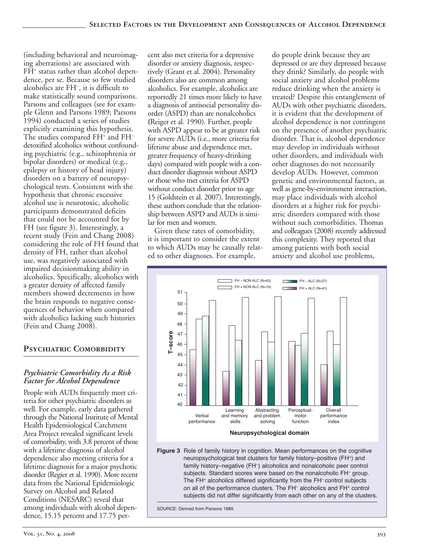(including behavioral and neuroimaging aberrations) are associated with  $FH^*$  status rather than alcohol dependence, per se. Because so few studied alcoholics are FH– , it is difficult to make statistically sound comparisons. Parsons and colleagues (see for example Glenn and Parsons 1989; Parsons 1994) conducted a series of studies explicitly examining this hypothesis. The studies compared FH<sup>+</sup> and FH<sup>-</sup> detoxified alcoholics without confounding psychiatric (e.g., schizophrenia or bipolar disorders) or medical (e.g., epilepsy or history of head injury) disorders on a battery of neuropsychological tests. Consistent with the hypothesis that chronic excessive alcohol use is neurotoxic, alcoholic participants demonstrated deficits that could not be accounted for by FH (see figure 3). Interestingly, a recent study (Fein and Chang 2008) considering the role of FH found that density of FH, rather than alcohol use, was negatively associated with impaired decisionmaking ability in alcoholics. Specifically, alcoholics with a greater density of affected family members showed decrements in how the brain responds to negative consequences of behavior when compared with alcoholics lacking such histories (Fein and Chang 2008).

# **Psychiatric Comorbidity**

# *Psychiatric Comorbidity As a Risk Factor for Alcohol Dependence*

People with AUDs frequently meet criteria for other psychiatric disorders as well. For example, early data gathered through the National Institute of Mental Health Epidemiological Catchment Area Project revealed significant levels of comorbidity, with 3.8 percent of those with a lifetime diagnosis of alcohol dependence also meeting criteria for a lifetime diagnosis for a major psychotic disorder (Regier et al. 1990). More recent data from the National Epidemiologic Survey on Alcohol and Related Conditions (NESARC) reveal that among individuals with alcohol dependence, 15.15 percent and 17.75 percent also met criteria for a depressive disorder or anxiety diagnosis, respectively (Grant et al. 2004). Personality disorders also are common among alcoholics. For example, alcoholics are reportedly 21 times more likely to have a diagnosis of antisocial personality disorder (ASPD) than are nonalcoholics **(**Reiger et al. 1990). Further, people with ASPD appear to be at greater risk for severe AUDs (i.e., more criteria for lifetime abuse and dependence met, greater frequency of heavy-drinking days) compared with people with a conduct disorder diagnosis without ASPD or those who met criteria for ASPD without conduct disorder prior to age 15 (Goldstein et al. 2007). Interestingly, these authors conclude that the relationship between ASPD and AUDs is similar for men and women.

Given these rates of comorbidity, it is important to consider the extent to which AUDs may be causally related to other diagnoses. For example,

do people drink because they are depressed or are they depressed because they drink? Similarly, do people with social anxiety and alcohol problems reduce drinking when the anxiety is treated? Despite this entanglement of AUDs with other psychiatric disorders, it is evident that the development of alcohol dependence is not contingent on the presence of another psychiatric disorder. That is, alcohol dependence may develop in individuals without other disorders, and individuals with other diagnoses do not necessarily develop AUDs. However, common genetic and environmental factors, as well as gene-by-environment interaction, may place individuals with alcohol disorders at a higher risk for psychiatric disorders compared with those without such comorbidities. Thomas and colleagues (2008) recently addressed this complexity. They reported that among patients with both social anxiety and alcohol use problems,



**Figure 3** Role of family history in cognition. Mean performances on the cognitive neuropsychological test clusters for family history–positive (FH+) and family history–negative (FH–) alcoholics and nonalcoholic peer control subjects. Standard scores were based on the nonalcoholic FH– group. The FH<sup>+</sup> alcoholics differed significantly from the FH<sup>-</sup> control subjects on all of the performance clusters. The FH<sup>-</sup> alcoholics and FH<sup>+</sup> control subjects did not differ significantly from each other on any of the clusters.

SOURCE: Derived from Parsons 1989.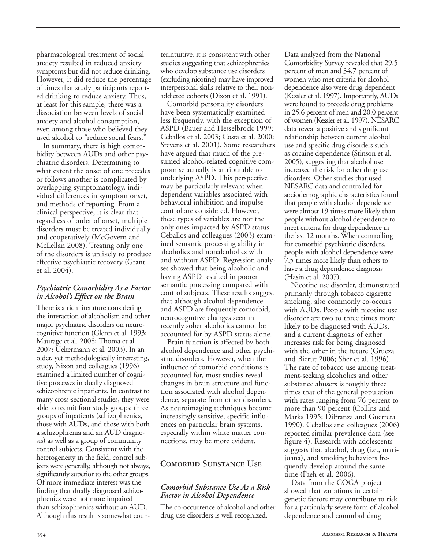pharmacological treatment of social anxiety resulted in reduced anxiety symptoms but did not reduce drinking. However, it did reduce the percentage of times that study participants reported drinking to reduce anxiety. Thus, at least for this sample, there was a dissociation between levels of social anxiety and alcohol consumption, even among those who believed they used alcohol to "reduce social fears."

In summary, there is high comorbidity between AUDs and other psychiatric disorders. Determining to what extent the onset of one precedes or follows another is complicated by overlapping symptomatology, individual differences in symptom onset, and methods of reporting. From a clinical perspective, it is clear that regardless of order of onset, multiple disorders must be treated individually and cooperatively (McGovern and McLellan 2008). Treating only one of the disorders is unlikely to produce effective psychiatric recovery (Grant et al. 2004).

#### *Psychiatric Comorbidity As a Factor in Alcohol's Effect on the Brain*

There is a rich literature considering the interaction of alcoholism and other major psychiatric disorders on neurocognitive function (Glenn et al. 1993; Maurage et al. 2008; Thoma et al. 2007; Uekermann et al. 2003). In an older, yet methodologically interesting, study, Nixon and colleagues (1996) examined a limited number of cognitive processes in dually diagnosed schizophrenic inpatients. In contrast to many cross-sectional studies, they were able to recruit four study groups: three groups of inpatients (schizophrenics, those with AUDs, and those with both a schizophrenia and an AUD diagnosis) as well as a group of community control subjects. Consistent with the heterogeneity in the field, control subjects were generally, although not always, significantly superior to the other groups. Of more immediate interest was the finding that dually diagnosed schizophrenics were not more impaired than schizophrenics without an AUD. Although this result is somewhat counterintuitive, it is consistent with other studies suggesting that schizophrenics who develop substance use disorders (excluding nicotine) may have improved interpersonal skills relative to their nonaddicted cohorts (Dixon et al. 1991).

Comorbid personality disorders have been systematically examined less frequently, with the exception of ASPD (Bauer and Hesselbrock 1999; Ceballos et al. 2003; Costa et al. 2000; Stevens et al. 2001). Some researchers have argued that much of the presumed alcohol-related cognitive compromise actually is attributable to underlying ASPD. This perspective may be particularly relevant when dependent variables associated with behavioral inhibition and impulse control are considered. However, these types of variables are not the only ones impacted by ASPD status. Ceballos and colleagues (2003) examined semantic processing ability in alcoholics and nonalcoholics with and without ASPD. Regression analyses showed that being alcoholic and having ASPD resulted in poorer semantic processing compared with control subjects. These results suggest that although alcohol dependence and ASPD are frequently comorbid, neurocognitive changes seen in recently sober alcoholics cannot be accounted for by ASPD status alone.

Brain function is affected by both alcohol dependence and other psychiatric disorders. However, when the influence of comorbid conditions is accounted for, most studies reveal changes in brain structure and function associated with alcohol dependence, separate from other disorders. As neuroimaging techniques become increasingly sensitive, specific influences on particular brain systems, especially within white matter connections, may be more evident.

# **Comorbid Substance Use**

## *Comorbid Substance Use As a Risk Factor in Alcohol Dependence*

The co-occurrence of alcohol and other drug use disorders is well recognized.

Data analyzed from the National Comorbidity Survey revealed that 29.5 percent of men and 34.7 percent of women who met criteria for alcohol dependence also were drug dependent (Kessler et al. 1997). Importantly, AUDs were found to precede drug problems in 25.6 percent of men and 20.0 percent of women (Kessleret al. 1997). NESARC data reveal a positive and significant relationship between current alcohol use and specific drug disorders such as cocaine dependence (Stinson et al. 2005), suggesting that alcohol use increased the risk for other drug use disorders. Other studies that used NESARC data and controlled for sociodemographic characteristics found that people with alcohol dependence were almost 19 times more likely than people without alcohol dependence to meet criteria for drug dependence in the last 12 months. When controlling for comorbid psychiatric disorders, people with alcohol dependence were 7.5 times more likely than others to have a drug dependence diagnosis (Hasin et al. 2007).

Nicotine use disorder, demonstrated primarily through tobacco cigarette smoking, also commonly co-occurs with AUDs. People with nicotine use disorder are two to three times more likely to be diagnosed with AUDs, and a current diagnosis of either increases risk for being diagnosed with the other in the future (Grucza and Bierut 2006; Sher et al. 1996). The rate of tobacco use among treatment-seeking alcoholics and other substance abusers is roughly three times that of the general population with rates ranging from 76 percent to more than 90 percent (Collins and Marks 1995; DiFranza and Guerrera 1990). Ceballos and colleagues (2006) reported similar prevalence data (see figure 4). Research with adolescents suggests that alcohol, drug (i.e., marijuana), and smoking behaviors frequently develop around the same time (Faeh et al. 2006).

Data from the COGA project showed that variations in certain genetic factors may contribute to risk for a particularly severe form of alcohol dependence and comorbid drug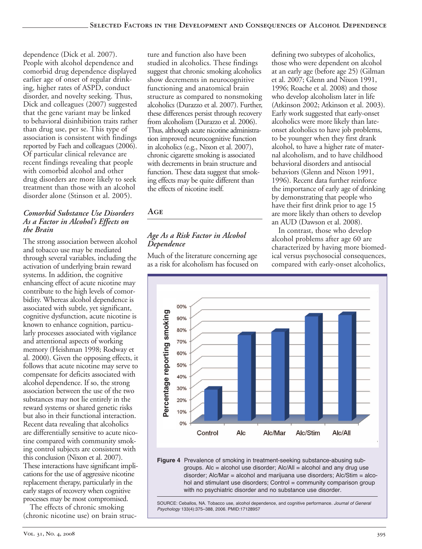dependence (Dick et al. 2007). People with alcohol dependence and comorbid drug dependence displayed earlier age of onset of regular drinking, higher rates of ASPD, conduct disorder, and novelty seeking. Thus, Dick and colleagues (2007) suggested that the gene variant may be linked to behavioral disinhibition traits rather than drug use, per se. This type of association is consistent with findings reported by Faeh and colleagues (2006). Of particular clinical relevance are recent findings revealing that people with comorbid alcohol and other drug disorders are more likely to seek treatment than those with an alcohol disorder alone (Stinson et al. 2005).

# *Comorbid Substance Use Disorders As a Factor in Alcohol's Effects on the Brain*

The strong association between alcohol and tobacco use may be mediated through several variables, including the activation of underlying brain reward systems. In addition, the cognitive enhancing effect of acute nicotine may contribute to the high levels of comorbidity. Whereas alcohol dependence is associated with subtle, yet significant, cognitive dysfunction, acute nicotine is known to enhance cognition, particularly processes associated with vigilance and attentional aspects of working memory (Heishman 1998; Rodway et al. 2000). Given the opposing effects, it follows that acute nicotine may serve to compensate for deficits associated with alcohol dependence. If so, the strong association between the use of the two substances may not lie entirely in the reward systems or shared genetic risks but also in their functional interaction. Recent data revealing that alcoholics are differentially sensitive to acute nicotine compared with community smoking control subjects are consistent with this conclusion (Nixon et al. 2007). These interactions have significant implications for the use of aggressive nicotine replacement therapy, particularly in the early stages of recovery when cognitive processes may be most compromised.

The effects of chronic smoking (chronic nicotine use) on brain structure and function also have been studied in alcoholics. These findings suggest that chronic smoking alcoholics show decrements in neurocognitive functioning and anatomical brain structure as compared to nonsmoking alcoholics (Durazzo et al. 2007). Further, these differences persist through recovery from alcoholism (Durazzo et al. 2006). Thus, although acute nicotine administration improved neurocognitive function in alcoholics (e.g., Nixon et al. 2007), chronic cigarette smoking is associated with decrements in brain structure and function. These data suggest that smoking effects may be quite different than the effects of nicotine itself.

# **Age**

# *Age As a Risk Factor in Alcohol Dependence*

Much of the literature concerning age as a risk for alcoholism has focused on defining two subtypes of alcoholics, those who were dependent on alcohol at an early age (before age 25) (Gilman et al. 2007; Glenn and Nixon 1991, 1996; Roache et al. 2008) and those who develop alcoholism later in life (Atkinson 2002; Atkinson et al. 2003). Early work suggested that early-onset alcoholics were more likely than lateonset alcoholics to have job problems, to be younger when they first drank alcohol, to have a higher rate of maternal alcoholism, and to have childhood behavioral disorders and antisocial behaviors (Glenn and Nixon 1991, 1996). Recent data further reinforce the importance of early age of drinking by demonstrating that people who have their first drink prior to age 15 are more likely than others to develop an AUD (Dawson et al. 2008).

In contrast, those who develop alcohol problems after age 60 are characterized by having more biomedical versus psychosocial consequences, compared with early-onset alcoholics,



 disorder; Alc/Mar = alcohol and marijuana use disorders; Alc/Stim = alco Figure 4 Prevalence of smoking in treatment-seeking substance-abusing subgroups. Alc = alcohol use disorder; Alc/All = alcohol and any drug use hol and stimulant use disorders; Control = community comparison group with no psychiatric disorder and no substance use disorder.

SOURCE: Ceballos, NA. Tobacco use, alcohol dependence, and cognitive performance. *Journal of General Psychology* 133(4):375–388, 2006. PMID:17128957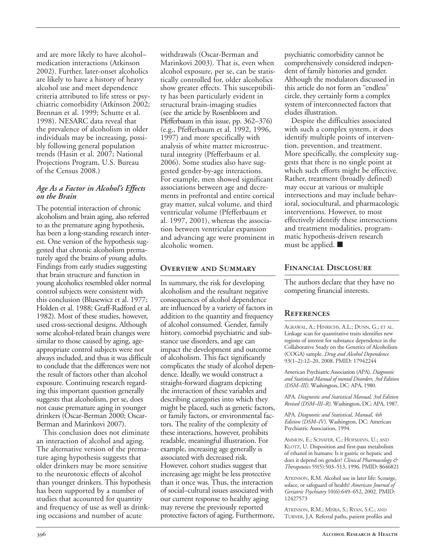and are more likely to have alcohol– medication interactions (Atkinson 2002). Further, later-onset alcoholics are likely to have a history of heavy alcohol use and meet dependence criteria attributed to life stress or psychiatric comorbidity (Atkinson 2002; Brennan et al. 1999; Schutte et al. 1998). NESARC data reveal that the prevalence of alcoholism in older individuals may be increasing, possibly following general population trends (Hasin et al. 2007; National Projections Program, U.S. Bureau of the Census 2008.)

#### *Age As a Factor in Alcohol's Effects on the Brain*

The potential interaction of chronic alcoholism and brain aging, also referred to as the premature aging hypothesis, has been a long-standing research interest. One version of the hypothesis suggested that chronic alcoholism prematurely aged the brains of young adults. Findings from early studies suggesting that brain structure and function in young alcoholics resembled older normal control subjects were consistent with this conclusion (Blusewicz et al. 1977; Holden et al. 1988; Graff-Radford et al. 1982). Most of these studies, however, used cross-sectional designs. Although some alcohol-related brain changes were similar to those caused by aging, ageappropriate control subjects were not always included, and thus it was difficult to conclude that the differences were not the result of factors other than alcohol exposure. Continuing research regarding this important question generally suggests that alcoholism, per se, does not cause premature aging in younger drinkers (Oscar-Berman 2000; Oscar-Berman and Marinkovi 2007).

This conclusion does not eliminate an interaction of alcohol and aging. The alternative version of the premature aging hypothesis suggests that older drinkers may be more sensitive to the neurotoxic effects of alcohol than younger drinkers. This hypothesis has been supported by a number of studies that accounted for quantity and frequency of use as well as drinking occasions and number of acute

withdrawals (Oscar-Berman and Marinkovi 2003). That is, even when alcohol exposure, per se, can be statistically controlled for, older alcoholics show greater effects. This susceptibility has been particularly evident in structural brain-imaging studies (see the article by Rosenbloom and Pfefferbaum in this issue, pp. 362–376) (e.g., Pfefferbaum et al. 1992, 1996, 1997) and more specifically with analysis of white matter microstructural integrity (Pfefferbaum et al. 2006). Some studies also have suggested gender-by-age interactions. For example, men showed significant associations between age and decrements in prefrontal and entire cortical gray matter, sulcal volume, and third ventricular volume (Pfefferbaum et al. 1997, 2001), whereas the association between ventricular expansion and advancing age were prominent in alcoholic women.

## **Overview and Summary**

In summary, the risk for developing alcoholism and the resultant negative consequences of alcohol dependence are influenced by a variety of factors in addition to the quantity and frequency of alcohol consumed. Gender, family history, comorbid psychiatric and substance use disorders, and age can impact the development and outcome of alcoholism. This fact significantly complicates the study of alcohol dependence. Ideally, we would construct a straight-forward diagram depicting the interaction of these variables and describing categories into which they might be placed, such as genetic factors, or family factors, or environmental factors. The reality of the complexity of these interactions, however, prohibits readable, meaningful illustration. For example, increasing age generally is associated with decreased risk. However, cohort studies suggest that increasing age might be less protective than it once was. Thus, the interaction of social–cultural issues associated with our current response to healthy aging may reverse the previously reported protective factors of aging. Furthermore,

psychiatric comorbidity cannot be comprehensively considered independent of family histories and gender. Although the modulators discussed in this article do not form an "endless" circle, they certainly form a complex system of interconnected factors that eludes illustration.

Despite the difficulties associated with such a complex system, it does identify multiple points of intervention, prevention, and treatment. More specifically, the complexity suggests that there is no single point at which such efforts might be effective. Rather, treatment (broadly defined) may occur at various or multiple intersections and may include behavioral, sociocultural, and pharmacologic interventions. However, to most effectively identify these intersections and treatment modalities, programmatic hypothesis-driven research must be applied.  $\blacksquare$ 

## **Financial Disclosure**

The authors declare that they have no competing financial interests.

# **References**

AGRAWAL, A.; HINRICHS, A.L.; DUNN, G.; ET AL. Linkage scan for quantitative traits identifies new regions of interest for substance dependence in the Collaborative Study on the Genetics of Alcoholism (COGA) sample. *Drug and Alcohol Dependence* 93(1–2):12–20, 2008. PMID: 17942244

American Psychiatric Association (APA). *Diagnostic and Statistical Manual of mental Disorders, 3rd Edition (DSM–III)*. Washington, DC: APA, 1980.

APA. *Diagnostic and Statistical Manual, 3rd Edition Revised (DSM–III–R)*. Washington, DC: APA, 1987.

APA. *Diagnostic and Statistical, Manual, 4th Edition (DSM–IV)*. Washington, DC: American Psychiatric Association, 1994.

AMMON, E.; SCHAFER, C.; HOFMANN, U.; AND KLOTZ, U. Disposition and first-pass metabolism of ethanol in humans: Is it gastric or hepatic and does it depend on gender? *Clinical Pharmacology & Therapeutics* 59(5):503–513, 1996. PMID: 8646821

ATKINSON, R.M. Alcohol use in later life: Scourge, solace, or safeguard of health? *American Journal of Geriatric Psychiatry* 10(6):649–652, 2002. PMID: 12427573

ATKINSON, R.M.; MISRA, S.; RYAN, S.C.; AND TURNER, J.A. Referral paths, patient profiles and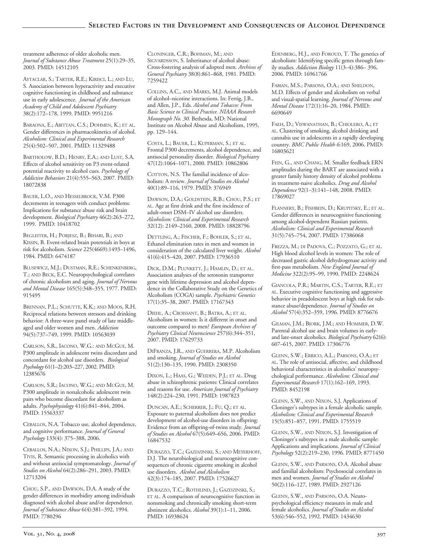treatment adherence of older alcoholic men. *Journal of Substance Abuse Treatment* 25(1):29–35, 2003. PMID: 14512105

AYTACLAR, S.; TARTER, R.E.; KIRISCI, L.; AND LU, S. Association between hyperactivity and executive cognitive functioning in childhood and substance use in early adolescence. *Journal of the American Academy of Child and Adolescent Psychiatry* 38(2):172–178, 1999. PMID: 9951216

BARAONA, E.; ABITTAN, C.S.; DOHMEN, K.; ET AL. Gender differences in pharmacokinetics of alcohol. *Alcoholism: Clinical and Experimental Research* 25(4):502–507, 2001. PMID: 11329488

BARTHOLOW, B.D.; HENRY, E.A.; AND LUST, S.A. Effects of alcohol sensitivity on P3 event-related potential reactivity to alcohol cues. *Psychology of Addictive Behaviors* 21(4):555–563, 2007. PMID: 18072838

BAUER, L.O., AND HESSELBROCK, V.M. P300 decrements in teenagers with conduct problems: Implications for substance abuse risk and brain development. *Biological Psychiatry* 46(2):263–272, 1999. PMID: 10418702

BEGLEITER, H.; PORJESZ, B.; BIHARI, B.; AND KISSIN, B. Event-related brain potentials in boys at risk for alcoholism. *Science* 225(4669):1493–1496, 1984. PMID: 6474187

BLUSEWICZ, M.J.; DUSTMAN, R.E.; SCHENKENBERG, T.; AND BECK, E.C. Neuropsychological correlates of chronic alcoholism and aging. *Journal of Nervous and Mental Disease* 165(5):348–355, 1977. PMID: 915495

BRENNAN, P.L.; SCHUTTE, K.K.; AND MOOS, R.H. Reciprocal relations between stressors and drinking behavior: A three-wave panel study of late middleaged and older women and men. *Addiction* 94(5):737–749, 1999. PMID: 10563039

CARLSON, S.R., IACONO, W.G.: AND MCGUE, M. P300 amplitude in adolescent twins discordant and concordant for alcohol use disorders. *Biological Psychology* 61(1–2):203–227, 2002. PMID: 12385676

CARLSON, S.R.; IACONO, W.G.; AND MCGUE, M. P300 amplitude in nonalcoholic adolescent twin pairs who become discordant for alcoholism as adults. *Psychophysiology* 41(6):841–844, 2004. PMID: 15563337

CEBALLOS, N.A. Tobacco use, alcohol dependence, and cognitive performance. *Journal of General Psychology* 133(4): 375–388, 2006.

CEBALLOS, N.A.; NIXON, S.J.; PHILLIPS, J.A.; AND TIVIS, R. Semantic processing in alcoholics with and without antisocial symptomatology. *Journal of Studies on Alcohol* 64(2):286–291, 2003. PMID: 12713204

CHOU, S.P., AND DAWSON, D.A. A study of the gender differences in morbidity among individuals diagnosed with alcohol abuse and/or dependence. *Journal of Substance Abuse* 6(4):381–392, 1994. PMID: 7780296

CLONINGER, C.R.; BOHMAN, M.; AND SIGVARDSSON, S. Inheritance of alcohol abuse: Cross-fostering analysis of adopted men. Archives of *General Psychiatry* 38(8):861–868, 1981. PMID: 7259422

COLLINS, A.C., AND MARKS, M.J. Animal models of alcohol–nicotine interactions. In: Fertig, J.B., and Allen, J.P., Eds. *Alcohol and Tobacco: From Basic Science to Clinical Practice. NIAAA Research Monograph No. 30*. Bethesda, MD: National Institute on Alcohol Abuse and Alcoholism, 1995, pp. 129–144.

COSTA, L.; BAUER, L.; KUPERMAN, S.; ET AL. Frontal P300 decrements, alcohol dependence, and antisocial personality disorder. *Biological Psychiatry* 47(12):1064–1071, 2000. PMID: 10862806

COTTON, N.S. The familial incidence of alcoholism: A review. *Journal of Studies on Alcohol* 40(1):89–116, 1979. PMID: 376949

DAWSON, D.A.; GOLDSTEIN, R.B.; CHOU, P.S.; ET AL. Age at first drink and the first incidence of adult-onset DSM-IV alcohol use disorders. *Alcoholism: Clinical and Experimental Research* 32(12): 2149–2160, 2008. PMID: 18828796

DETTLING, A.; FISCHER, F.; BOHLER, S.; ET AL. Ethanol elimination rates in men and women in consideration of the calculated liver weight. *Alcohol* 41(6):415–420, 2007. PMID: 17936510

DICK, D.M.; PLUNKETT, J.; HAMLIN, D.; ET AL. Association analyses of the serotonin transporter gene with lifetime depression and alcohol dependence in the Collaborative Study on the Genetics of Alcoholism (COGA) sample. *Psychiatric Genetics* 17(1):35–38, 2007. PMID: 17167343

DIEHL, A.; CROISSANT, B.; BATRA, A.; ET AL. Alcoholism in women: Is it different in onset and outcome compared to men? *European Archives of Psychiatry Clinical Neuroscience* 257(6):344–351, 2007. PMID: 17629733

DIFRANZA, J.R., AND GUERRERA, M.P. Alcoholism and smoking. *Journal of Studies on Alcohol* 51(2):130–135, 1990. PMID: 2308350

DIXON, L.; HAAS, G.; WEIDEN, P.J.; ET AL. Drug abuse in schizophrenic patients: Clinical correlates and reasons for use. *American Journal of Psychiatry* 148(2):224–230, 1991. PMID: 1987823

DUNCAN, A.E.; SCHERRER, J.; FU, Q.; ET AL. Exposure to paternal alcoholism does not predict development of alcohol-use disorders in offspring: Evidence from an offspring-of-twins study. Journal *of Studies on Alcohol* 67(5):649–656, 2006. PMID: 16847532

DURAZZO, T.C.; GAZDZINSKI, S.; AND MEYERHOFF, D.J. The neurobiological and neurocognitive consequences of chronic cigarette smoking in alcohol use disorders. *Alcohol and Alcoholism* 42(3):174–185, 2007. PMID: 17526627

DURAZZO, T.C.; ROTHLIND, J.; GAZDZINSKI, S.; ET AL. A comparison of neurocognitive function in nonsmoking and chronically smoking short-term abstinent alcoholics. *Alcohol* 39(1):1–11, 2006. PMID: 16938624

EDENBERG, H.J., AND FOROUD, T. The genetics of alcoholism: Identifying specific genes through family studies. *Addiction Biology* 11(3–4):386– 396, 2006. PMID: 16961766

FABIAN, M.S.; PARSONS, O.A.; AND SHELDON, M.D. Effects of gender and alcoholism on verbal and visual-spatial learning. *Journal of Nervous and Mental Disease* 172(1):16–20, 1984. PMID: 6690649

FAEH, D.; VISWANATHAN, B.; CHIOLERO, A.; ET AL. Clustering of smoking, alcohol drinking and cannabis use in adolescents in a rapidly developing country. *BMC Public Health 6*:169, 2006. PMID: 16803621

FEIN, G., AND CHANG, M. Smaller feedback ERN amplitudes during the BART are associated with a greater family history density of alcohol problems in treatment-naive alcoholics. *Drug and Alcohol Dependence* 92(1–3):141–148, 2008. PMID: 17869027

FLANNERY, B.; FISHBEIN, D.; KRUPITSKY, E.; ET AL. Gender differences in neurocognitive functioning among alcohol-dependent Russian patients. *Alcoholism: Clinical and Experimental Research* 31(5):745–754, 2007. PMID: 17386068

FREZZA, M.; DI PADOVA, C.; POZZATO, G.; ET AL. High blood alcohol levels in women: The role of decreased gastric alcohol dehydrogenase activity and first-pass metabolism. *New England Journal of Medicine* 322(2):95–99, 1990. PMID: 2248624

GIANCOLA, P.R.; MARTIN, C.S.; TARTER, R.E.; ET AL. Executive cognitive functioning and aggressive behavior in preadolescent boys at high risk for substance abuse/dependence. *Journal of Studies on Alcohol* 57(4):352–359, 1996. PMID: 8776676

GILMAN, J.M.; BJORK, J.M.; AND HOMMER, D.W. Parental alcohol use and brain volumes in earlyand late-onset alcoholics. *Biological Psychiatry* 62(6): 607–615, 2007. PMID: 17306776

GLENN, S.W.; ERRICO, A.L.; PARSONS, O.A.; ET AL. The role of antisocial, affective, and childhood behavioral characteristics in alcoholics' neuropsychological performance. *Alcoholism: Clinical and Experimental Research* 17(1):162–169, 1993. PMID: 8452198

GLENN, S.W., AND NIXON, S.J. Applications of Cloninger's subtypes in a female alcoholic sample. *Alcoholism: Clinical and Experimental Research* 15(5):851–857, 1991. PMID: 1755519

GLENN, S.W., AND NIXON, S.J. Investigation of Cloninger's subtypes in a male alcoholic sample: Applications and implications. *Journal of Clinical Psychology* 52(2):219–230, 1996. PMID: 8771450

GLENN, S.W., AND PARSONS, O.A. Alcohol abuse and familial alcoholism: Psychosocial correlates in men and women. *Journal of Studies on Alcohol* 50(2):116–127, 1989. PMID: 2927126

GLENN, S.W., AND PARSONS, O.A. Neuropsychological efficiency measures in male and female alcoholics. *Journal of Studies on Alcohol* 53(6):546–552, 1992. PMID: 1434630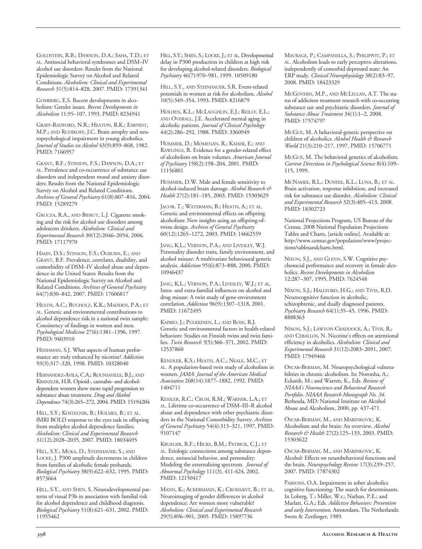GOLDSTEIN, R.B.; DAWSON, D.A.; SAHA, T.D.; ET AL. Antisocial behavioral syndromes and DSM–IV alcohol use disorders: Results from the National Epidemiologic Survey on Alcohol and Related Conditions. *Alcoholism: Clinical and Experimental Research* 31(5):814–828, 2007. PMID: 17391341

GOMBERG, E.S. Recent developments in alcoholism: Gender issues. *Recent Developments in Alcoholism* 11:95–107, 1993. PMID: 8234941

GRAFF-RADFORD, N.R.; HEATON, R.K.; EARNEST, M.P.; AND RUDIKOFF, J.C. Brain atrophy and neuropsychological impairment in young alcoholics. *Journal of Studies on Alcohol* 43(9):859–868, 1982. PMID: 7166957

GRANT, B.F.; STINSON, F.S.; DAWSON, D.A.; ET AL. Prevalence and co-occurrence of substance use disorders and independent mood and anxiety disorders: Results from the National Epidemiologic Survey on Alcohol and Related Conditions. *Archives of General Psychiatry* 61(8):807–816, 2004. PMID: 15289279

GRUCZA, R.A., AND BIERUT, L.J. Cigarette smoking and the risk for alcohol use disorders among adolescent drinkers. *Alcoholism: Clinical and Experimental Research* 30(12):2046–2054, 2006. PMID: 17117970

HASIN, D.S.; STINSON, F.S.; OGBURN, E.; AND GRANT, B.F. Prevalence, correlates, disability, and comorbidity of DSM–IV alcohol abuse and dependence in the United States: Results from the National Epidemiologic Survey on Alcohol and Related Conditions. *Archives of General Psychiatry* 64(7):830–842, 2007. PMID: 17606817

HEATH, A.C.; BUCHOLZ, K.K.; MADDEN, P.A.; ET AL. Genetic and environmental contributions to alcohol dependence risk in a national twin sample: Consistency of findings in women and men. *Psychological Medicine* 27(6):1381–1396, 1997. PMID: 9403910

HEISHMAN, S.J. What aspects of human performance are truly enhanced by nicotine? *Addiction* 93(3):317–320, 1998. PMID: 10328040

HERNANDEZ-AVILA, C.A.; ROUNSAVILLE, B.J.; AND KRANZLER, H.R. Opioid-, cannabis- and alcoholdependent women show morerapid progression to substance abuse treatment. *Drug and Alcohol Dependence* 74(3):265–272, 2004. PMID: 15194204

HILL, S.Y.; KOSTELNIK, B.; HOLMES, B.; ET AL. fMRI BOLD response to the eyes task in offspring from multiplex alcohol dependence families. *Alcoholism: Clinical and Experimental Research* 31(12):2028–2035, 2007. PMID: 18034695

HILL, S.Y.; MUKA, D.; STEINHAUER, S.; AND LOCKE, J. P300 amplitude decrements in children from families of alcoholic female probands. *Biological Psychiatry* 38(9):622–632, 1995. PMID: 8573664

HILL, S.Y., AND SHEN, S. Neurodevelopmental patterns of visual P3b in association with familial risk for alcohol dependence and childhood diagnosis. *Biological Psychiatry* 51(8):621–631, 2002. PMID: 11955462

HILL, S.Y.; SHEN, S.; LOCKE, J.; ET AL. Developmental delay in P300 production in children at high risk for developing alcohol-related disorders. *Biological Psychiatry* 46(7):970–981, 1999. 10509180

HILL, S.Y., AND STEINHAUER, S.R. Event-related potentials in women at risk for alcoholism. *Alcohol* 10(5):349–354, 1993. PMID: 8216879

HOLDEN, K.L.; MCLAUGHLIN, E.J.; REILLY, E.L.; AND OVERALL, J.E. Accelerated mental aging in alcoholic patients. *Journal of Clinical Psychology* 44(2):286–292, 1988. PMID: 3360949

HOMMER, D.; MOMENAN, R.; KAISER, E.; AND RAWLINGS, R. Evidence for a gender-related effect of alcoholism on brain volumes. *American Journal of Psychiatry* 158(2):198–204, 2001. PMID: 11156801

HOMMER, D.W. Male and female sensitivity to alcoholinduced brain damage. *Alcohol Research & Health* 27(2):181–185, 2003. PMID: 15303629

JACOB, T.; WATERMAN, B.; HEATH, A.; ET AL. Genetic and environmental effects on offspring alcoholism: New insights using an offspring-oftwins design. *Archives of General Psychiatry* 60(12):1265–1272, 2003. PMID: 14662559

JANG, K.L.; VERNON, P.A.; AND LIVESLEY, W.J. Personality disorder traits, family environment, and alcohol misuse: A multivariate behavioural genetic analysis. *Addiction* 95(6):873–888, 2000. PMID: 10946437

JANG, K.L.; VERNON, P.A.; LIVESLEY, W.J.; ET AL. Intra- and extra-familial influences on alcohol and drug misuse: A twin study of gene-environment correlation. *Addiction* 96(9):1307–1318, 2001. PMID: 11672495

KAPRIO, J.; PULKKINEN, L.; AND ROSE, R.J. Genetic and environmental factors in health-related behaviors: Studies on Finnish twins and twin families. *Twin Research 5*(5):366–371, 2002. PMID: 12537860

KENDLER, K.S.; HEATH, A.C.; NEALE, M.C.; ET AL. A population-based twin study of alcoholism in women. *JAMA: Journal of the American Medical Association* 268(14):1877–1882, 1992. PMID: 1404711

KESSLER, R.C.; CRUM, R.M.; WARNER, L.A.; ET AL. Lifetime co-occurrence of DSM-III-R alcohol abuse and dependence with other psychiatric disorders in the National Comorbidity Survey. *Archives of General Psychiatry* 54(4):313–321, 1997. PMID: 9107147

KRUEGER, R.F.; HICKS, B.M.; PATRICK, C.J.; ET AL. Etiologic connections among substance dependence, antisocial behavior, and personality: Modeling the externalizing spectrum. *Journal of Abnormal Psychology* 111(3), 411-424, 2002. PMID: 12150417

MANN, K.; ACKERMANN, K.; CROISSANT, B.; ET AL. Neuroimaging of gender differences in alcohol dependence: Are women more vulnerable? *Alcoholism: Clinical and Experimental Research* 29(5):896–901, 2005. PMID: 15897736

MAURAGE, P.; CAMPANELLA, S.; PHILIPPOT, P.; ET AL. Alcoholism leads to early perceptive alterations, independently of comorbid depressed state: An ERP study. *Clinical Neurophysiology* 38(2):83–97, 2008. PMID: 18423329

MCGOVERN, M.P., AND MCLELLAN, A.T. The status of addiction treatment research with co-occurring substance use and psychiatric disorders. *Journal of Substance Abuse Treatment* 34(1):1–2, 2008. PMID: 17574797

McGUE, M. A behavioral-genetic perspective on children of alcoholics. *Alcohol Health & Research World* 21(3):210–217, 1997. PMID: 15706771

MCGUE, M. The behavioral genetics of alcoholism. *Current Directions in Psychological Science* 8(4):109– 115, 1999.

MCNAMEE, R.L.; DUNFEE, K.L.; LUNA, B.; ET AL. Brain activation, response inhibition, and increased risk for substance use disorder. *Alcoholism: Clinical and Experimental Research* 32(3):405–413, 2008. PMID: 18302723

National Projections Program, US Bureau of the Census. 2008 National Population Projections Tables and Charts, [article online]. Available at: http://www.census.gov/population/www/projections/tablesandcharts.html.

NIXON, S.J., AND GLENN, S.W. Cognitive psychosocial performance and recovery in female alcoholics. *Recent Developments in Alcoholism* 12:287–307, 1995. PMID: 7624548

NIXON, S.J.; HALLFORD, H.G.; AND TIVIS, R.D. Neurocognitive function in alcoholic, schizophrenic, and dually diagnosed patients. *Psychiatry Research* 64(1):35–45, 1996. PMID: 8888363

NIXON, S.J.; LAWTON-CRADDOCK, A.; TIVIS, R.; AND CEBALLOS, N. Nicotine's effects on attentional efficiency in alcoholics. *Alcoholism: Clinical and Experimental Research* 31(12):2083–2091, 2007. PMID: 17949466

OSCAR-BERMAN, M. Neuropsychological vulnerabilities in chronic alcoholism. In: Noronha, A.; Eckardt, M.; and Warren, K., Eds. *Review of NIAAA's Neuroscience and Behavioral Research Portfolio. NIAAA Research Monograph No. 34*. Bethesda, MD: National Institute on Alcohol Abuse and Alcoholism, 2000, pp. 437-471.

OSCAR-BERMAN, M., AND MARINKOVIC, K. Alcoholism and the brain: An overview. *Alcohol Research & Health* 27(2):125–133, 2003. PMID: 15303622

OSCAR-BERMAN, M., AND MARINKOVIC, K. Alcohol: Effects on neurobehavioral functions and the brain. *Neuropsychology Review* 17(3):239–257, 2007. PMID: 17874302

PARSONS, O.A. Impairment in sober alcoholics cognitive functioning: The search for determinants. In Loberg, T.; Miller, W.r.; Nathan, P.E.; and Marlatt, G.A.; Eds. *Addictive Behaviors: Prevention and early Intervention.* Amsterdam, The Netherlands: Swets & Zertlinger, 1989.